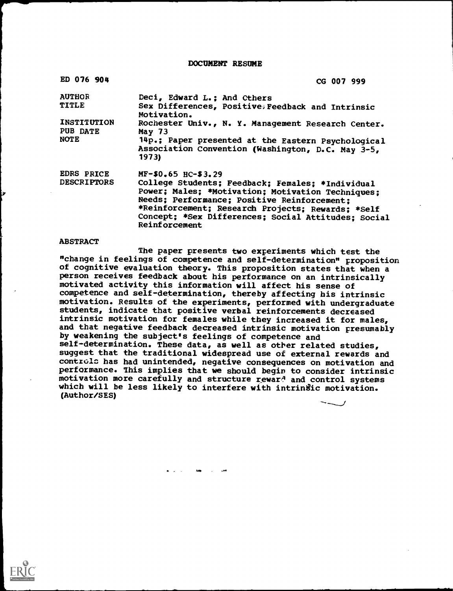DOCUMENT RESUME

| ED 076 904                              | CG 007 999                                                                                                                                                                                                                                                                              |
|-----------------------------------------|-----------------------------------------------------------------------------------------------------------------------------------------------------------------------------------------------------------------------------------------------------------------------------------------|
| <b>AUTHOR</b><br><b>TITLE</b>           | Deci, Edward L.; And Others<br>Sex Differences, Positive, Feedback and Intrinsic<br>Motivation.                                                                                                                                                                                         |
| INSTITUTION<br>PUB DATE<br><b>NOTE</b>  | Rochester Univ., N. Y. Management Research Center.<br><b>May 73</b><br>14p.; Paper presented at the Eastern Psychological<br>Association Convention (Washington, D.C. May 3-5,<br>1973                                                                                                  |
| <b>EDRS PRICE</b><br><b>DESCRIPTORS</b> | MF-\$0.65 HC-\$3.29<br>College Students; Feedback; Females; *Individual<br>Power; Males; *Motivation; Motivation Techniques;<br>Needs; Performance; Positive Reinforcement;<br>*Reinforcement; Research Projects; Rewards; *Self<br>Concept; *Sex Differences; Social Attitudes; Social |

Reinforcement

#### **ABSTRACT**

The paper presents two experiments which test the "change in feelings of competence and self-determination" proposition<br>of cognitive evaluation theory. This proposition states that when a person receives feedback about his performance on an intrinsically motivated activity this information will affect his sense of competence and self-determination, thereby affecting his intrinsic motivation. Results of the experiments, performed with undergraduate students, indicate that positive verbal reinforcements decreased intrinsic motivation for females while they increased it for males, and that negative feedback decreased intrinsic motivation presumably by weakening the subject's feelings of competence and self-determination. These data, as well as other related studies, suggest that the traditional widespread use of external rewards and controls has had unintended, negative consequences on motivation and performance. This implies that we should begin to consider intrinsic motivation more carefully and structure reward and control systems which will be less likely to interfere with intrinsic motivation. (Author/SES)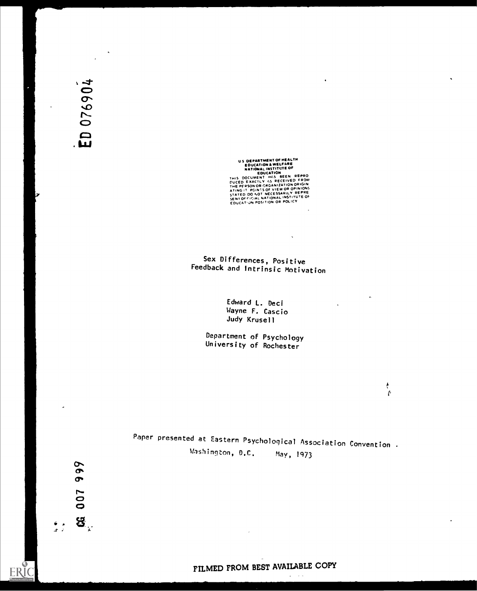US DEPARTMENT OF MEALT<br>
EDUCATION & WELFARE<br>
NATIONAL INSTITUTE OF<br>
NATIONAL INSTITUTE OF<br>
THIS DOCUMENT HAS BEEN REPRO<br>
DUCED EXACTLY AS RECEIVED FROM<br>
ATING IT POINTS OF VIEW OR OPINIONS<br>
STATED DO NOT NECESSARILY REPRE<br>

# Sex Differences, Positive Feedback and Intrinsic Motivation

Edward L. Deci Wayne F. Cascio Judy Krusell

Department of Psychology University of Rochester

Paper presented at Eastern Psychological Association Convention Washington, D.C. May, 1973

 $\overline{\phantom{a}}$ 

**ERIC** 

 $\ddot{\phantom{a}}$ 

 $\sim$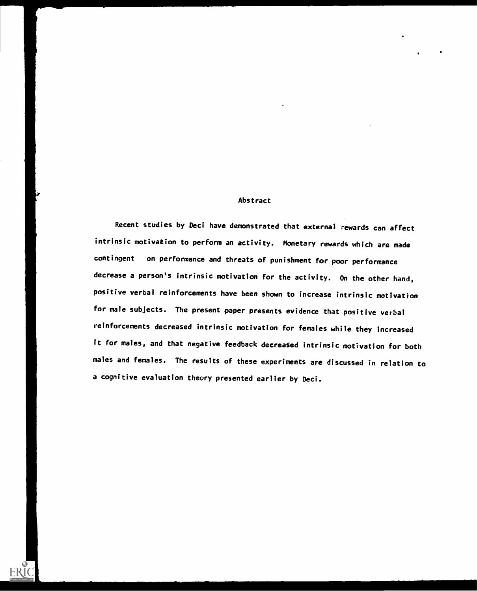#### Abstract

Recent studies by Deci have demonstrated that external rewards can affect intrinsic motivation to perform an activity. Monetary rewards which are made contingent on performance and threats of punishment for poor performance decrease a person's intrinsic motivation for the activity. On the other hand, positive verbal reinforcements have been shown to increase intrinsic motivation for male subjects. The present paper presents evidence that positive verbal reinforcements decreased intrinsic motivation for females while they increased it for males, and that negative feedback decreased intrinsic motivation for both males and females. The results of these experiments are discussed in relation to a cognitive evaluation theory presented earlier by Deci.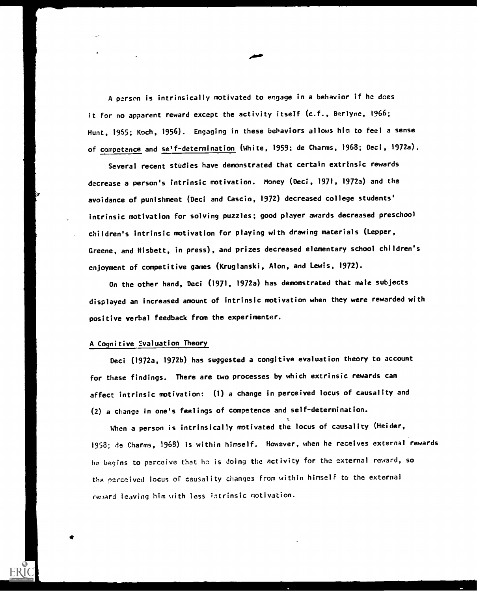A person is intrinsically motivated to engage in a behavior if he does it for no apparent reward except the activity itself (c.f., Berlyne, 1966; Hunt, 1955; Koch, 1956). Engaging in these behaviors allows him to feel a sense of competence and se'f-determination (White, 1959; de Charms, 1968; Deci, 1972a).

Several recent studies have demonstrated that certain extrinsic rewards decrease a person's intrinsic motivation. Money (Deci, 1971, 1972a) and the avoidance of punishment (Deci and Cascio, 1972) decreased college students' intrinsic motivation for solving puzzles; good player awards decreased preschool children's intrinsic motivation for playing with drawing materials (Lepper, Greene, and Nisbett, in press), and prizes decreased elementary school children's enjoyment of competitive games (Kruglanski, Alon, and Lewis, 1972).

On the other hand, Deci (1971, 1972a) has demonstrated that male subjects displayed an increased amount of intrinsic motivation when they were rewarded with positive verbal feedback from the experimenter.

#### A Cognitive Evaluation Theory

Deci (1972a, 1972b) has suggested a congitive evaluation theory to account for these findings. There are two processes by which extrinsic rewards can affect intrinsic motivation: (1) a change in perceived locus of causality and (2) a change in one's feelings of competence and self-determination.

When a person is intrinsically motivated the locus of causality (Heider, 1958; de Charms, 1968) is within himself. However, when he receives external rewards he begins to perceive that he is doing the activity for the external reward, so perceived locus of causality changes from within himself to the external reward leaving him with less intrinsic motivation.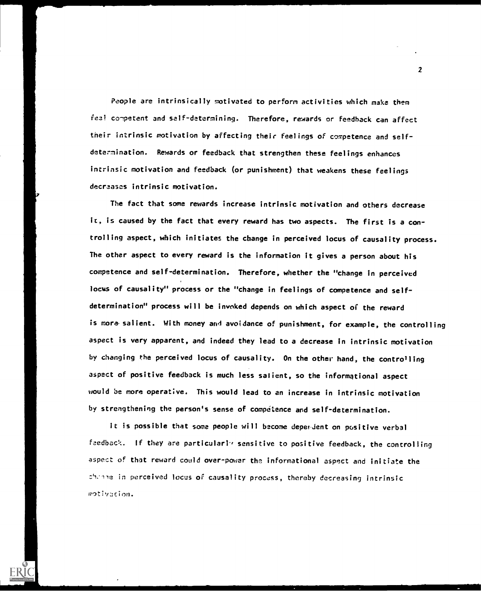People are intrinsically motivated to perform activities which make them feel competent and self-determining. Therefore, rewards or feedback can affect their intrinsic motivation by affecting their feelings of competence and selfdetermination. Rewards or feedback that strengthen these feelings enhances intrinsic motivation and feedback (or punishment) that weakens these feelings decreases intrinsic motivation.

The fact that some rewards increase intrinsic motivation and others decrease it, is caused by the fact that every reward has two aspects. The first is a controlling aspect, which initiates the change in perceived locus of causality process. The other aspect to every reward is the information it gives a person about his competence and self-determination. Therefore, whether the "change in perceived locus of causality" process or the "change in feelings of competence and selfdetermination" process will be invoked depends on which aspect of the reward is more salient. With money and avoidance of punishment, for example, the controlling aspect is very apparent, and indeed they lead to a decrease in intrinsic motivation by changing the perceived locus of causality. On the other hand, the controlling aspect of positive feedback is much less salient, so the informational aspect would be more operative. This would lead to an increase in intrinsic motivation by strengthening the person's sense of competence and self-determination.

It is possible that some people will become deperdent on positive verbal feedback. If they are particularly sensitive to positive feedback, the controlling aspect of that reward could over-power the informational aspect and initiate the in perceived locus of causality process, thereby decreasing intrinsicmotivation.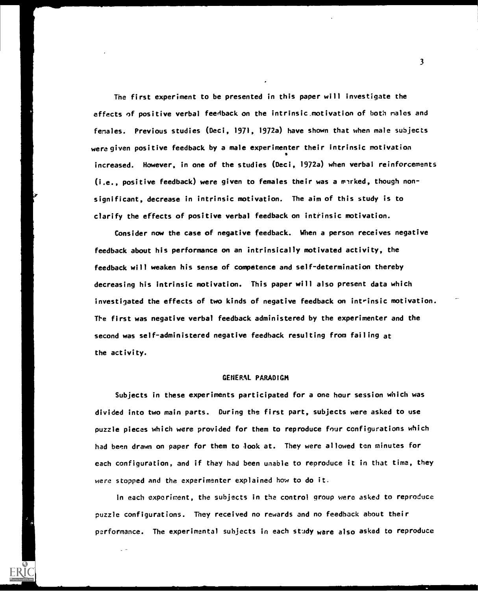The first experiment to be presented in this paper will investigate the effects of positive verbal feedback on the intrinsic motivation of both males and females. Previous studies (Deci, 1971, 1972a) have shown that when male subjects were given positive feedback by a male experimenter their intrinsic motivation 0 increased. However, in one of the studies (Deci, 1972a) when verbal reinforcements  $(i.e., positive feedback)$  were given to females their was a marked, though nonsignificant, decrease in intrinsic motivation. The aim of this study is to clarify the effects of positive verbal feedback on intrinsic motivation.

Consider now the case of negative feedback. When a person receives negative feedback about his performance on an intrinsically motivated activity, the feedback will weaken his sense of competence and self-determination thereby decreasing his intrinsic motivation. This paper will also present data which investigated the effects of two kinds of negative feedback on intrinsic motivation. The first was negative verbal feedback administered by the experimenter and the second was self-administered negative feedback resulting from failing at the activity.

#### GENERAL PARADIGM

Subjects in these experiments participated for a one hour session which was divided into two main parts. During the first part, subjects were asked to use puzzle pieces which were provided for them to reproduce four configurations which had been drawn on paper for them to look at. They were allowed ten minutes for each configuration, and if they had been unable to reproduce it in that time, they were stopped and the experimenter explained how to do it.

In each experiment, the subjects in the control group were asked to reproduce puzzle configurations. They received no rewards and no feedback about their performance. The experimental subjects in each study ware also asked to reproduce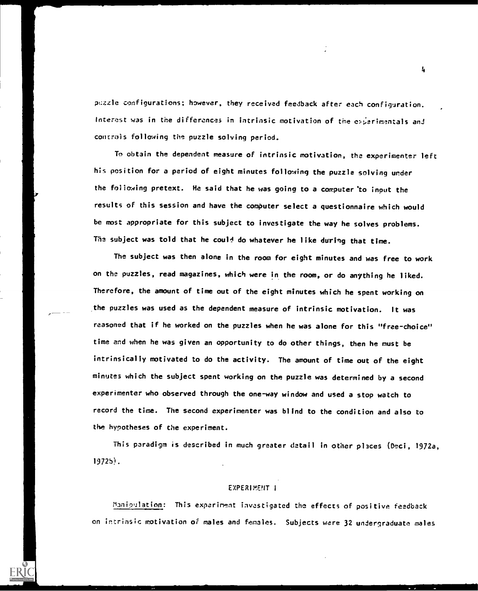pozzle configurations; however, they received feedback after each configuration. Interest was in the differences in intrinsic motivation of the experimentals and controls following the puzzle solving period.

To obtain the dependent measure of intrinsic motivation, the experimenter left his position for a period of eight minutes following the puzzle solving under the following pretext. He said that he was going to a computer'to input the results of this session and have the computer select a questionnaire which would be most appropriate for this subject to investigate the way he solves problems. The subject was told that he could do whatever he like during that time.

The subject was then alone in the room for eight minutes and was free to work on the puzzles, read magazines, which were in the room, or do anything he liked. Therefore, the amount of time out of the eight minutes which he spent working on the puzzles was used as the dependent measure of intrinsic motivation. It was reasoned that if he worked on the puzzles when he was alone for this "free-choice" time and when he was given an opportunity to do other things, then he must be intrinsically motivated to do the activity. The amount of time out of the eight minutes which the subject spent working on the puzzle was determined by a second experimenter who observed through the one-way window and used a stop watch to record the time. The second experimenter was blind to the condition and also to the hypotheses of the experiment.

This paradigm is described in much greater detail in other places (Deci, 1972a, 19725).

#### EXPERIMENT I

?ianioulation: This experiment investigated the effects of positive feedback on intrinsic motivation of males and females. Subjects were 32 undergraduate males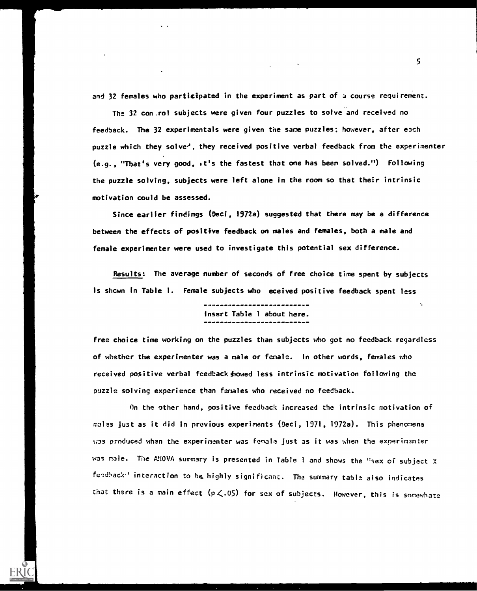and 32 females who participated in the experiment as part of a course requirement.

The 32 con.rol subjects were given four puzzles to solve and received no feedback. The 32 experimentals were given the same puzzles; however, after each puzzle which they solve<sup>2</sup>, they received positive verbal feedback from the experimenter (e.g., "That's very good, it's the fastest that one has been solved.") Following the puzzle solving, subjects were left alone in the room so that their intrinsic motivation could be assessed.

Since earlier findings (Deci, 1972a) suggested that there may be a difference between the effects of positive feedback on males and females, both a male and female experimenter were used to investigate this potential sex difference.

Results: The average number of seconds of free choice time spent by subjects is shcwn in Table 1. Female subjects who eceived positive feedback spent less

> \_\_\_\_\_\_\_\_\_\_\_\_\_\_\_\_\_\_\_\_\_\_\_ Insert Table 1 about here. -------------------------

free choice time working on the puzzles than subjects who got no feedback regardless of whether the experimenter was a male or female. In other words, females who received positive verbal feedback showed less intrinsic motivation following the puzzle solving experience than females who received no feedback.

On the other hand, positive feedback increased the intrinsic motivation of males just as it did in previous experiments (Oeci, 1971, 1972a). This phenomena W3S produced when the experimenter was female just as it was when the experimenter was male. The ANOVA summary is presented in Table <sup>I</sup> and shows the "sex of subject X feedback" interaction to be highly significant. The summary table also indicates that there is a main effect  $(p \lt 0.05)$  for sex of subjects. However, this is somewhate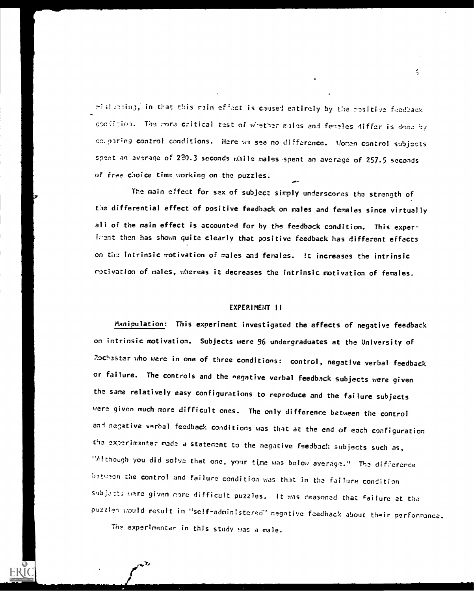$\pi$ ish meing, in that this main effect is caused entirely by the rositive feedback condition. The more critical test of whether males and fedeles differ is done by co,pering control conditions. Here W2 see no difference. Women control subjects spent an average of 230.3 seconds while males spent an average of 257.5 seconds of free choice time working on the puzzles.

The main effect for sex of subject simply underscores the strength of the differential effect of positive feedback on males and females since virtually all of the main effect is accounted for by the feedback condition. This experigent then has shown quite clearly that positive feedback has different effects on the intrinsic motivation of males and females. It increases the intrinsic rotivation of males, whereas it decreases the intrinsic motivation of females.

#### EXPERIMEiIT II

Manipulation: This experiment investigated the effects of negative feedback on intrinsic motivation. Subjects were 96 undergraduates at the University of Pochester who were in one of three conditions: control, negative verbal feedback or failure. The controls and the negative verbal feedback subjects were given the same relatively easy configurations to reproduce and the failure subjects were given much more difficult ones. The only difference between the control and negative verbal feedback conditions was that at the end of each configuration the experimenter made a statement to the negative feedback subjects such as, "Although you did solve that one, your time was below average." The difference baturen the control and failure condition was that in the failure condition subjacts were given more difficult puzzles. It was reasoned that failure at the puzzles would result in "self-administered" negative feedback about their performance.

Th2 experimenter in this study was a male.

 $\leq$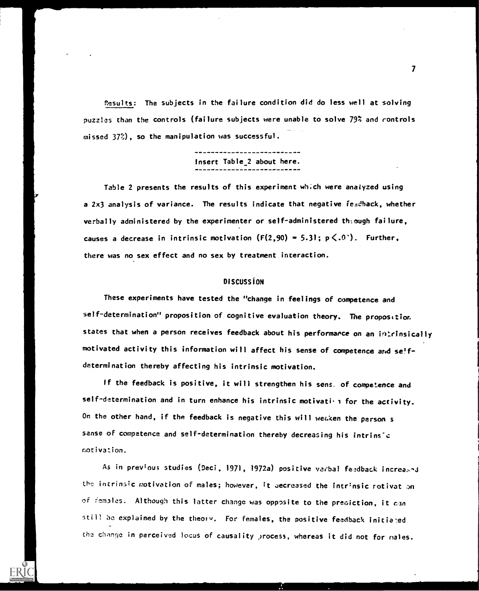Results: The subjects in the failure condition did do less well at solving puzzles than the controls (failure subjects were unable to solve 79% and controls missed 37%), so the manipulation was successful.

Insert Table\_2 about here.

Table 2 presents the results of this experiment which were analyzed using a 2x3 analysis of variance. The results indicate that negative feedback, whether verbally administered by the experimenter or self-administered th:ough failure, causes a decrease in intrinsic motivation  $(F(2,90) = 5.31; p \leq .0^{\circ})$ . Further, there was no sex effect and no sex by treatment interaction.

### **DISCUSSION**

These experiments have tested the "change in feelings of competence and self-determination" proposition of cognitive evaluation theory. The proposition states that when a person receives feedback about his performance on an intrinsically motivated activity this information will affect his sense of competence and selfdetermination thereby affecting his intrinsic motivation.

If the feedback is positive, it will strengthen his sens. of competence and self-determination and in turn enhance his intrinsic motivation for the activity. On the other hand, if the feedback is negative this will weaken the person  $s$ sense of competence and self-determination thereby decreasing his intrinsic motivation.

As in previous studies (Deci, 1971, 1972a) positive verbal feedback increased the intrinsic motivation of males; however, it uecreased the intrinsic rotivat on of females. Although this latter change was opposite to the prediction, it can still be explained by the theory. For females, the positive feedback initiated the change in perceived locus of causality process, whereas it did not for males.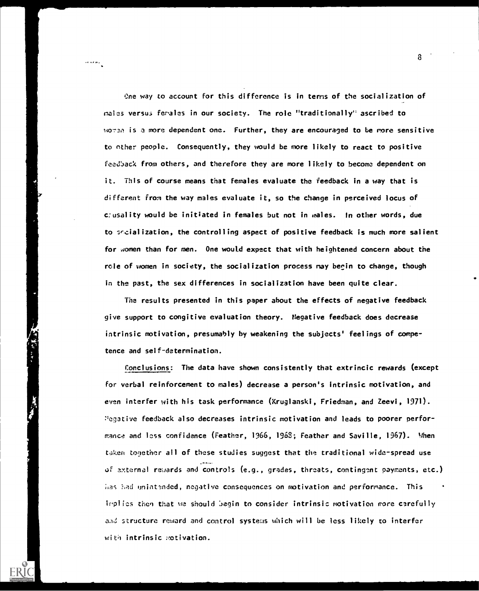Cne way to account for this difference is in terns of the socialization of males versus females in our society. The role "traditionally" ascribed to woren is a more dependent one. Further, they are encouraged to be more sensitive to other people. Consequently, they would be more likely to react to positive feedback from others, and therefore they are more likely to become dependent on it. This of course means that females evaluate the feedback in a way that is different from the way males evaluate it, so the change in perceived locus of cousality would be initiated in females but not in males. In other words, due to sf-cialization, the controlling aspect of positive feedback is much more salient for women than for men. One would expect that with heightened concern about the role of women in society, the socialization process may begin to change, though in the past, the sex differences in socialization have been quite clear.

The results presented in this paper about the effects of negative feedback give support to congitive evaluation theory. Negative feedback does decrease intrinsic motivation, presumably by weakening the subjects' feelings of competence and self-determination.

Conclusions: The data have shown consistently that extrincic rewards (except for verbal reinforcement to males) decrease a person's intrinsic motivation, and even interfer with his task performance (Kruglanski, Friedman, and Zeevi, 1971). ''egative feedback also decreases intrinsic motivation and leads to poorer performance and less confidence (Feather, 1966, 1968; Feather and Saville, 1967). Mhen taken together all of these studies suggest that the traditional wide-spread use of external rewards and controls (e.g., grades, threats, contingent payments, etc.) has had unintanded, negative consequences on motivation and performance. This implies then that we should begin to consider intrinsic motivation more carefully and structure reward and control systems which will be less likely to interfer with intrinsic motivation.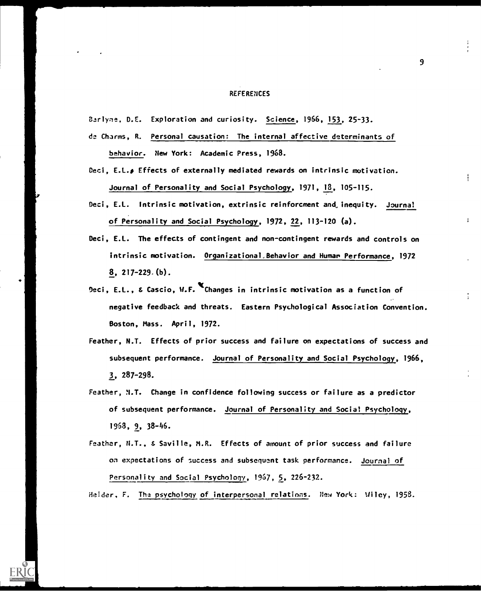#### **REFERENCES**

Barlyne, D.E. Exploration and curiosity. Science, 1966, 153, 25-33.

- de Charms, R. Personal causation: The internal affective determinants of behavior. New York: Academic Press, 1968.
- Deci, E.L., Effects of externally mediated rewards on intrinsic motivation. Journal of Personality and Social Psychology, 1971, 18, 105-115.
- Deci, E.L. Intrinsic motivation, extrinsic reinforcment and inequity. Journal of Personality and Social Psychology, 1972, 22, 113-120 (a).
- Deci, E.L. The effects of contingent and non-contingent rewards and controls on intrinsic motivation. Organizational.Behavior and Human Performance, 1972 8, 217-229.(b).
- Deci, E.L., & Cascio, W.F. Changes in intrinsic motivation as a function of negative feedback and threats. Eastern Psychological Association Convention. Boston, Mass. April, 1972.
- Feather, N.T. Effects of prior success and failure on expectations of success and subsequent performance. Journal of Personality and Social Psychology, 1966, 3, 287-298.
- Feather, N.T. Change in confidence following success or failure as a predictor of subsequent performance. Journal of Personality and Social Psychology, 1968, 9, 38-46.
- Feather, N.T., & Saville, M.R. Effects of amount of prior success and failure on expectations of success and subsequent task performance. Journal of Personality and Social Psychology, 1967, 5, 226-232.

Heider, F. Tha psychology of interpersonal relations. New York: Wiley, 1958.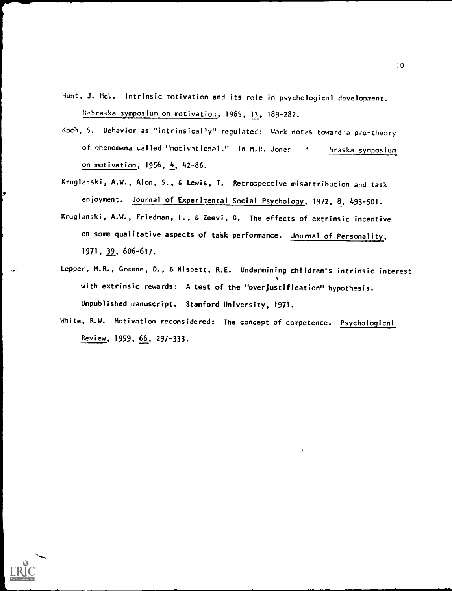Hunt, J. McV. Intrinsic motivation and its role in psychological development. Mabraska symposium on motivation, 1965, 13, 189-282.

- Koch, S. Behavior as "intrinsically" regulated: Work notes toward a pre-theory of ohenomena called "motivational." In M.R. Jones 4 the Sraska symposium on motivation, 1956, 4, 42-86.
- Kruglanski, A.W., Alon, S., & Lewis, T. Retrospective misattribution and task enjoyment. Journal of Experimental Social Psychology, 1972, 8, 493-501.
- Kruglanski, A.W., Friedman, I., & Zeevi, G. The effects of extrinsic incentive on some qualitative aspects of task performance. Journal of Personality, 1971, 39, 606-617.
- Lepper, M.R., Greene, D., & Nisbett, R.E. Undermining children's intrinsic interest with extrinsic rewards: A test of the "overjustification" hypothesis. Unpublished manuscript. Stanford University, 1971.
- White, R.W. Motivation reconsidered: The concept of competence. Psychological Review, 1959, 66, 297-333.





ż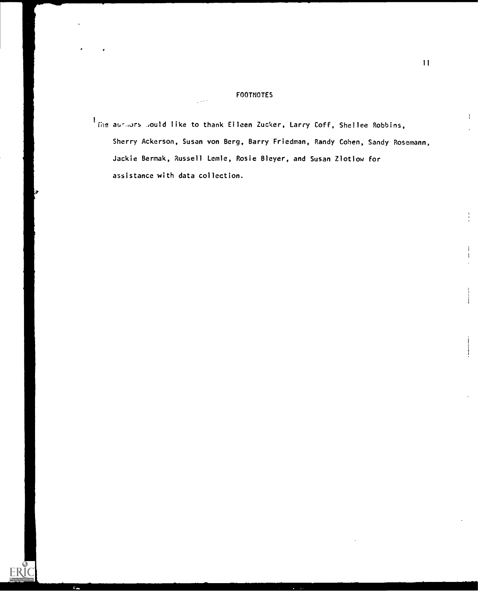### FOOTNOTES

. The aushors would like to thank Eileen Zucker, Larry Coff, Shellee Robbins, Show and Management Co Sherry Ackerson, Susan von Berg, Barry Friedman, Randy Cohen, Sandy Rosemann, Jackie Bermak, Russell Lemle, Rosie Bleyer, and Susan Zlotlow for assistance with data collection.

ERI

I

 $\mathbf{I}$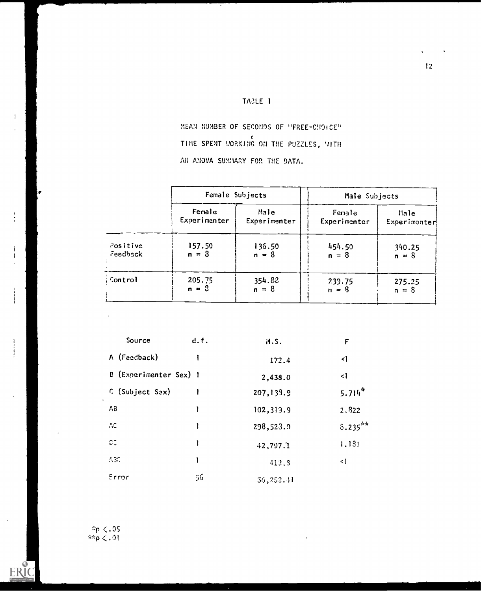## TABLE <sup>1</sup>

MEAN NUMBER OF SECONDS OF "FREE-CHOICE" TIME SPENT MORKING ON THE PUZZLES, WITH AN ANOVA SUMMARY FOR THE DATA.

|          | Female Subjects |              | Male Subjects |              |
|----------|-----------------|--------------|---------------|--------------|
|          | Female          | Male         | Female        | <i>Hale</i>  |
|          | Experimenter    | Experimenter | Experimenter  | Experimenter |
| Positive | 157.50          | 136.50       | 454.50        | 340.25       |
| Feedback | $n = 3$         | $n = 8$      | $n = 8$       | $n = 8$      |
| Control  | 205.75          | 354.88       | 239.75        | 275.25       |
|          | $n = 2$         | $n = 8$      | $n = 8$       | $n = 8$      |

| Source                 | d.f. | A.S.       | F                    |  |
|------------------------|------|------------|----------------------|--|
| A (Feedback)           |      | 172.4      | $\triangleleft$      |  |
| B (Experimenter Sex) 1 |      | 2,438.0    | $\triangleleft$      |  |
| C (Subject Sex)        |      | 207,133.9  | $5.714$ <sup>*</sup> |  |
| $\wedge$ <sub>3</sub>  | 1    | 102,319.9  | 2.822                |  |
| ЛC                     | 1    | 298,523.0  | $8.235***$           |  |
| CC.                    | 1    | 42,797.1   | 1.181                |  |
| ASC.                   | 1    | 412.3      | $\langle$            |  |
| Error                  | 56   | 36, 252.11 |                      |  |

\*p <.05  $\zeta$  . 01

 $\mathbf{I}$ 

 $\ddot{\cdot}$ 

 $\begin{array}{c} \mathbf{i} \\ \mathbf{i} \end{array}$ 

ERIC